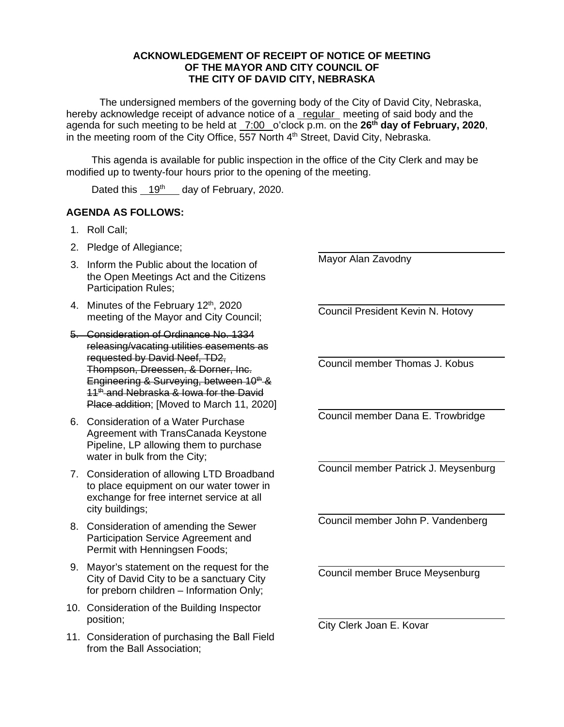## **ACKNOWLEDGEMENT OF RECEIPT OF NOTICE OF MEETING OF THE MAYOR AND CITY COUNCIL OF THE CITY OF DAVID CITY, NEBRASKA**

The undersigned members of the governing body of the City of David City, Nebraska, hereby acknowledge receipt of advance notice of a regular meeting of said body and the agenda for such meeting to be held at 7:00 o'clock p.m. on the **26th day of February, 2020**, in the meeting room of the City Office, 557 North 4<sup>th</sup> Street, David City, Nebraska.

This agenda is available for public inspection in the office of the City Clerk and may be modified up to twenty-four hours prior to the opening of the meeting.

Dated this 19<sup>th</sup> day of February, 2020.

## **AGENDA AS FOLLOWS:**

- 1. Roll Call;
- 2. Pledge of Allegiance;
- 3. Inform the Public about the location of the Open Meetings Act and the Citizens Participation Rules;
- 4. Minutes of the February 12<sup>th</sup>, 2020 meeting of the Mayor and City Council;
- 5. Consideration of Ordinance No. 1334 releasing/vacating utilities easements as requested by David Neef, TD2, Thompson, Dreessen, & Dorner, Inc. Engineering & Surveying, between  $10^{th}$  & 11<sup>th</sup> and Nebraska & Iowa for the David Place addition; [Moved to March 11, 2020]
- 6. Consideration of a Water Purchase Agreement with TransCanada Keystone Pipeline, LP allowing them to purchase water in bulk from the City;
- 7. Consideration of allowing LTD Broadband to place equipment on our water tower in exchange for free internet service at all city buildings;
- 8. Consideration of amending the Sewer Participation Service Agreement and Permit with Henningsen Foods;
- 9. Mayor's statement on the request for the City of David City to be a sanctuary City for preborn children – Information Only;
- 10. Consideration of the Building Inspector position;
- 11. Consideration of purchasing the Ball Field from the Ball Association;

Mayor Alan Zavodny

l

 $\overline{\phantom{a}}$ 

l

 $\overline{\phantom{a}}$ 

 $\overline{\phantom{a}}$ 

Council President Kevin N. Hotovy

 $\overline{\phantom{a}}$ Council member Thomas J. Kobus

 $\overline{\phantom{a}}$ Council member Dana E. Trowbridge

Council member Patrick J. Meysenburg

l Council member John P. Vandenberg

Council member Bruce Meysenburg

City Clerk Joan E. Kovar